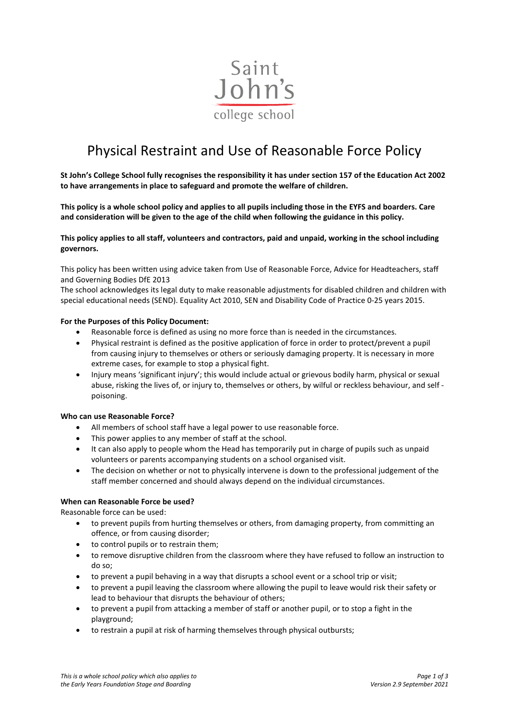

# Physical Restraint and Use of Reasonable Force Policy

**St John's College School fully recognises the responsibility it has under section 157 of the Education Act 2002 to have arrangements in place to safeguard and promote the welfare of children.** 

**This policy is a whole school policy and applies to all pupils including those in the EYFS and boarders. Care and consideration will be given to the age of the child when following the guidance in this policy.** 

**This policy applies to all staff, volunteers and contractors, paid and unpaid, working in the school including governors.**

This policy has been written using advice taken from Use of Reasonable Force, Advice for Headteachers, staff and Governing Bodies DfE 2013

The school acknowledges its legal duty to make reasonable adjustments for disabled children and children with special educational needs (SEND). Equality Act 2010, SEN and Disability Code of Practice 0-25 years 2015.

#### **For the Purposes of this Policy Document:**

- Reasonable force is defined as using no more force than is needed in the circumstances.
- Physical restraint is defined as the positive application of force in order to protect/prevent a pupil from causing injury to themselves or others or seriously damaging property. It is necessary in more extreme cases, for example to stop a physical fight.
- Injury means 'significant injury'; this would include actual or grievous bodily harm, physical or sexual abuse, risking the lives of, or injury to, themselves or others, by wilful or reckless behaviour, and self poisoning.

#### **Who can use Reasonable Force?**

- All members of school staff have a legal power to use reasonable force.
- This power applies to any member of staff at the school.
- It can also apply to people whom the Head has temporarily put in charge of pupils such as unpaid volunteers or parents accompanying students on a school organised visit.
- The decision on whether or not to physically intervene is down to the professional judgement of the staff member concerned and should always depend on the individual circumstances.

#### **When can Reasonable Force be used?**

Reasonable force can be used:

- to prevent pupils from hurting themselves or others, from damaging property, from committing an offence, or from causing disorder;
- to control pupils or to restrain them;
- to remove disruptive children from the classroom where they have refused to follow an instruction to do so;
- to prevent a pupil behaving in a way that disrupts a school event or a school trip or visit;
- to prevent a pupil leaving the classroom where allowing the pupil to leave would risk their safety or lead to behaviour that disrupts the behaviour of others;
- to prevent a pupil from attacking a member of staff or another pupil, or to stop a fight in the playground;
- to restrain a pupil at risk of harming themselves through physical outbursts;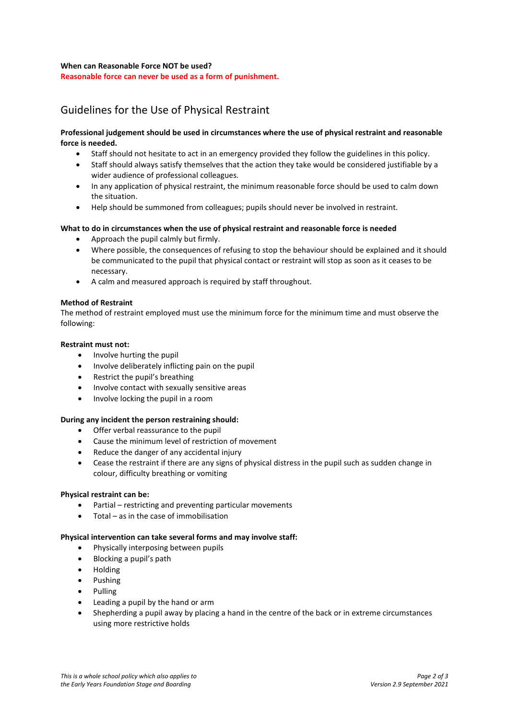#### **When can Reasonable Force NOT be used?**

**Reasonable force can never be used as a form of punishment.**

## Guidelines for the Use of Physical Restraint

#### **Professional judgement should be used in circumstances where the use of physical restraint and reasonable force is needed.**

- Staff should not hesitate to act in an emergency provided they follow the guidelines in this policy.
- Staff should always satisfy themselves that the action they take would be considered justifiable by a wider audience of professional colleagues.
- In any application of physical restraint, the minimum reasonable force should be used to calm down the situation.
- Help should be summoned from colleagues; pupils should never be involved in restraint.

#### **What to do in circumstances when the use of physical restraint and reasonable force is needed**

- Approach the pupil calmly but firmly.
- Where possible, the consequences of refusing to stop the behaviour should be explained and it should be communicated to the pupil that physical contact or restraint will stop as soon as it ceases to be necessary.
- A calm and measured approach is required by staff throughout.

#### **Method of Restraint**

The method of restraint employed must use the minimum force for the minimum time and must observe the following:

#### **Restraint must not:**

- Involve hurting the pupil
- Involve deliberately inflicting pain on the pupil
- Restrict the pupil's breathing
- Involve contact with sexually sensitive areas
- Involve locking the pupil in a room

#### **During any incident the person restraining should:**

- Offer verbal reassurance to the pupil
- Cause the minimum level of restriction of movement
- Reduce the danger of any accidental injury
- Cease the restraint if there are any signs of physical distress in the pupil such as sudden change in colour, difficulty breathing or vomiting

#### **Physical restraint can be:**

- Partial restricting and preventing particular movements
- Total as in the case of immobilisation

#### **Physical intervention can take several forms and may involve staff:**

- Physically interposing between pupils
- Blocking a pupil's path
- Holding
- Pushing
- Pulling
- Leading a pupil by the hand or arm
- Shepherding a pupil away by placing a hand in the centre of the back or in extreme circumstances using more restrictive holds